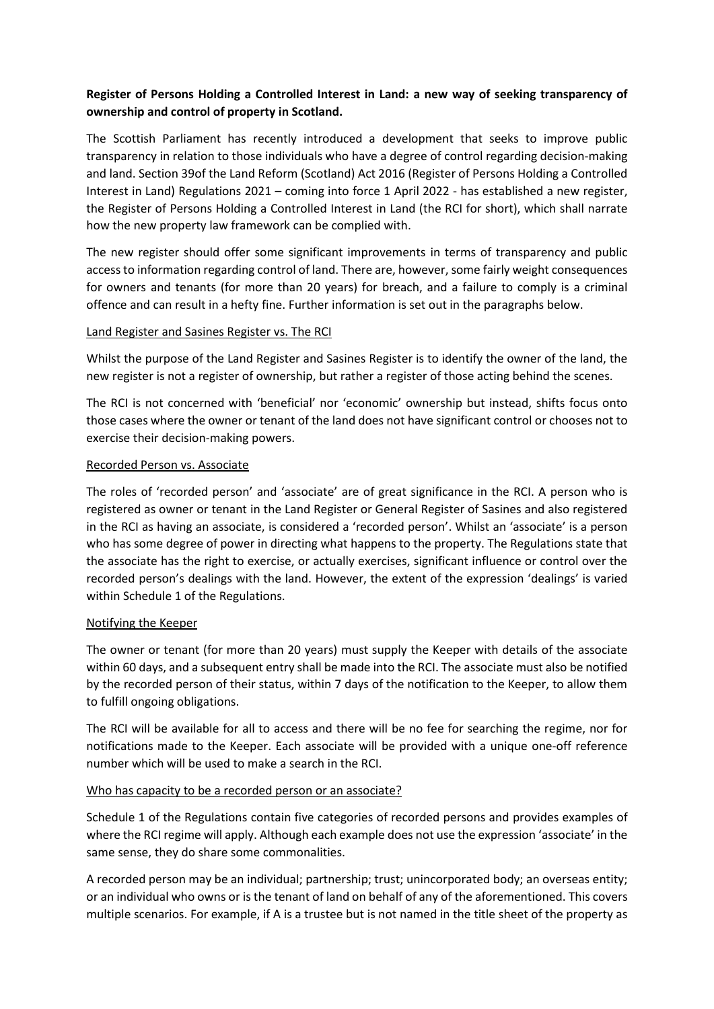# **Register of Persons Holding a Controlled Interest in Land: a new way of seeking transparency of ownership and control of property in Scotland.**

The Scottish Parliament has recently introduced a development that seeks to improve public transparency in relation to those individuals who have a degree of control regarding decision-making and land. Section 39of the Land Reform (Scotland) Act 2016 (Register of Persons Holding a Controlled Interest in Land) Regulations 2021 – coming into force 1 April 2022 - has established a new register, the Register of Persons Holding a Controlled Interest in Land (the RCI for short), which shall narrate how the new property law framework can be complied with.

The new register should offer some significant improvements in terms of transparency and public access to information regarding control of land. There are, however, some fairly weight consequences for owners and tenants (for more than 20 years) for breach, and a failure to comply is a criminal offence and can result in a hefty fine. Further information is set out in the paragraphs below.

## Land Register and Sasines Register vs. The RCI

Whilst the purpose of the Land Register and Sasines Register is to identify the owner of the land, the new register is not a register of ownership, but rather a register of those acting behind the scenes.

The RCI is not concerned with 'beneficial' nor 'economic' ownership but instead, shifts focus onto those cases where the owner or tenant of the land does not have significant control or chooses not to exercise their decision-making powers.

#### Recorded Person vs. Associate

The roles of 'recorded person' and 'associate' are of great significance in the RCI. A person who is registered as owner or tenant in the Land Register or General Register of Sasines and also registered in the RCI as having an associate, is considered a 'recorded person'. Whilst an 'associate' is a person who has some degree of power in directing what happens to the property. The Regulations state that the associate has the right to exercise, or actually exercises, significant influence or control over the recorded person's dealings with the land. However, the extent of the expression 'dealings' is varied within Schedule 1 of the Regulations.

#### Notifying the Keeper

The owner or tenant (for more than 20 years) must supply the Keeper with details of the associate within 60 days, and a subsequent entry shall be made into the RCI. The associate must also be notified by the recorded person of their status, within 7 days of the notification to the Keeper, to allow them to fulfill ongoing obligations.

The RCI will be available for all to access and there will be no fee for searching the regime, nor for notifications made to the Keeper. Each associate will be provided with a unique one-off reference number which will be used to make a search in the RCI.

#### Who has capacity to be a recorded person or an associate?

Schedule 1 of the Regulations contain five categories of recorded persons and provides examples of where the RCI regime will apply. Although each example does not use the expression 'associate' in the same sense, they do share some commonalities.

A recorded person may be an individual; partnership; trust; unincorporated body; an overseas entity; or an individual who owns or is the tenant of land on behalf of any of the aforementioned. This covers multiple scenarios. For example, if A is a trustee but is not named in the title sheet of the property as